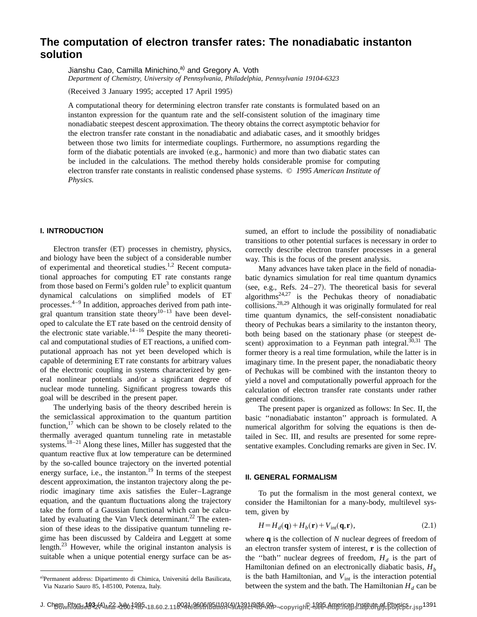# **The computation of electron transfer rates: The nonadiabatic instanton solution**

Jianshu Cao, Camilla Minichino,<sup>a)</sup> and Gregory A. Voth

*Department of Chemistry, University of Pennsylvania, Philadelphia, Pennsylvania 19104-6323*

(Received 3 January 1995; accepted 17 April 1995)

A computational theory for determining electron transfer rate constants is formulated based on an instanton expression for the quantum rate and the self-consistent solution of the imaginary time nonadiabatic steepest descent approximation. The theory obtains the correct asymptotic behavior for the electron transfer rate constant in the nonadiabatic and adiabatic cases, and it smoothly bridges between those two limits for intermediate couplings. Furthermore, no assumptions regarding the form of the diabatic potentials are invoked  $(e.g., harmonic)$  and more than two diabatic states can be included in the calculations. The method thereby holds considerable promise for computing electron transfer rate constants in realistic condensed phase systems. © *1995 American Institute of Physics.*

## **I. INTRODUCTION**

Electron transfer (ET) processes in chemistry, physics, and biology have been the subject of a considerable number of experimental and theoretical studies.1,2 Recent computational approaches for computing ET rate constants range from those based on Fermi's golden rule<sup>3</sup> to explicit quantum dynamical calculations on simplified models of ET processes.4–9 In addition, approaches derived from path integral quantum transition state theory<sup>10–13</sup> have been developed to calculate the ET rate based on the centroid density of the electronic state variable.<sup>14-16</sup> Despite the many theoretical and computational studies of ET reactions, a unified computational approach has not yet been developed which is capable of determining ET rate constants for arbitrary values of the electronic coupling in systems characterized by general nonlinear potentials and/or a significant degree of nuclear mode tunneling. Significant progress towards this goal will be described in the present paper.

The underlying basis of the theory described herein is the semiclassical approximation to the quantum partition function, $^{17}$  which can be shown to be closely related to the thermally averaged quantum tunneling rate in metastable systems.<sup>18-21</sup> Along these lines, Miller has suggested that the quantum reactive flux at low temperature can be determined by the so-called bounce trajectory on the inverted potential energy surface, i.e., the instanton.<sup>19</sup> In terms of the steepest descent approximation, the instanton trajectory along the periodic imaginary time axis satisfies the Euler–Lagrange equation, and the quantum fluctuations along the trajectory take the form of a Gaussian functional which can be calculated by evaluating the Van Vleck determinant.<sup>22</sup> The extension of these ideas to the dissipative quantum tunneling regime has been discussed by Caldeira and Leggett at some length.<sup>23</sup> However, while the original instanton analysis is suitable when a unique potential energy surface can be as-

a)Permanent address: Dipartimento di Chimica, Universitá della Basilicata, Via Nazario Sauro 85, I-85100, Potenza, Italy.

sumed, an effort to include the possibility of nonadiabatic transitions to other potential surfaces is necessary in order to correctly describe electron transfer processes in a general way. This is the focus of the present analysis.

Many advances have taken place in the field of nonadiabatic dynamics simulation for real time quantum dynamics (see, e.g., Refs.  $24 - 27$ ). The theoretical basis for several algorithms<sup>24,27</sup> is the Pechukas theory of nonadiabatic collisions.28,29 Although it was originally formulated for real time quantum dynamics, the self-consistent nonadiabatic theory of Pechukas bears a similarity to the instanton theory, both being based on the stationary phase (or steepest descent) approximation to a Feynman path integral. $30,31$  The former theory is a real time formulation, while the latter is in imaginary time. In the present paper, the nonadiabatic theory of Pechukas will be combined with the instanton theory to yield a novel and computationally powerful approach for the calculation of electron transfer rate constants under rather general conditions.

The present paper is organized as follows: In Sec. II, the basic ''nonadiabatic instanton'' approach is formulated. A numerical algorithm for solving the equations is then detailed in Sec. III, and results are presented for some representative examples. Concluding remarks are given in Sec. IV.

#### **II. GENERAL FORMALISM**

To put the formalism in the most general context, we consider the Hamiltonian for a many-body, multilevel system, given by

$$
H = H_d(\mathbf{q}) + H_b(\mathbf{r}) + V_{\text{int}}(\mathbf{q}, \mathbf{r}),\tag{2.1}
$$

where **q** is the collection of *N* nuclear degrees of freedom of an electron transfer system of interest, **r** is the collection of the "bath" nuclear degrees of freedom,  $H_d$  is the part of Hamiltonian defined on an electronically diabatic basis,  $H<sub>b</sub>$ is the bath Hamiltonian, and  $V_{int}$  is the interaction potential between the system and the bath. The Hamiltonian  $H_d$  can be

J. ChggwRhy&dd932641w&2-42001985-18.60.2.11002de9f96f85f102149/133824966.APp-copyrigh@-1995-Americapd.natitutegofcBbyeiser.jsp1391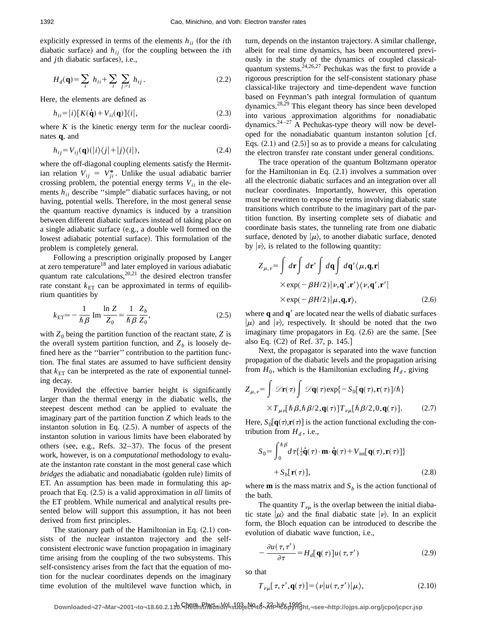explicitly expressed in terms of the elements  $h_{ii}$  (for the *i*th diabatic surface) and  $h_{ij}$  (for the coupling between the *i*th and *j*th diabatic surfaces), i.e.,

$$
H_d(\mathbf{q}) = \sum_i h_{ii} + \sum_i \sum_{j>i} h_{ij}.
$$
 (2.2)

Here, the elements are defined as

$$
h_{ii} = |i\rangle [K(\dot{\mathbf{q}}) + V_{ii}(\mathbf{q})] \langle i|,
$$
\n(2.3)

where  $K$  is the kinetic energy term for the nuclear coordinates **q**, and

$$
h_{ij} = V_{ij}(\mathbf{q})(|i\rangle\langle j| + |j\rangle\langle i|),\tag{2.4}
$$

where the off-diagonal coupling elements satisfy the Hermitian relation  $V_{ij} = V_{ji}^*$ . Unlike the usual adiabatic barrier crossing problem, the potential energy terms  $V_{ii}$  in the elements *h<sub>ii</sub>* describe "simple" diabatic surfaces having, or not having, potential wells. Therefore, in the most general sense the quantum reactive dynamics is induced by a transition between different diabatic surfaces instead of taking place on a single adiabatic surface (e.g., a double well formed on the lowest adiabatic potential surface). This formulation of the problem is completely general.

Following a prescription originally proposed by Langer at zero temperature<sup>18</sup> and later employed in various adiabatic quantum rate calculations, $2^{0,21}$  the desired electron transfer rate constant  $k_{ET}$  can be approximated in terms of equilibrium quantities by

$$
k_{\text{ET}} \simeq -\frac{1}{\hbar \beta} \text{ Im } \frac{\ln Z}{Z_0} = \frac{1}{\hbar \beta} \frac{Z_b}{Z_0},\tag{2.5}
$$

with  $Z_0$  being the partition function of the reactant state,  $Z$  is the overall system partition function, and  $Z_b$  is loosely defined here as the ''barrier'' contribution to the partition function. The final states are assumed to have sufficient density that  $k_{ET}$  can be interpreted as the rate of exponential tunneling decay.

Provided the effective barrier height is significantly larger than the thermal energy in the diabatic wells, the steepest descent method can be applied to evaluate the imaginary part of the partition function *Z* which leads to the instanton solution in Eq.  $(2.5)$ . A number of aspects of the instanton solution in various limits have been elaborated by others (see, e.g., Refs.  $32-37$ ). The focus of the present work, however, is on a *computational* methodology to evaluate the instanton rate constant in the most general case which *bridges* the adiabatic and nonadiabatic (golden rule) limits of ET. An assumption has been made in formulating this approach that Eq.  $(2.5)$  is a valid approximation in *all* limits of the ET problem. While numerical and analytical results presented below will support this assumption, it has not been derived from first principles.

The stationary path of the Hamiltonian in Eq.  $(2.1)$  consists of the nuclear instanton trajectory and the selfconsistent electronic wave function propagation in imaginary time arising from the coupling of the two subsystems. This self-consistency arises from the fact that the equation of motion for the nuclear coordinates depends on the imaginary time evolution of the multilevel wave function which, in turn, depends on the instanton trajectory. A similar challenge, albeit for real time dynamics, has been encountered previously in the study of the dynamics of coupled classicalquantum systems. $24,26,27$  Pechukas was the first to provide a rigorous prescription for the self-consistent stationary phase classical-like trajectory and time-dependent wave function based on Feynman's path integral formulation of quantum dynamics.28,29 This elegant theory has since been developed into various approximation algorithms for nonadiabatic dynamics.<sup>24-27</sup> A Pechukas-type theory will now be developed for the nonadiabatic quantum instanton solution  $[cf.$ Eqs.  $(2.1)$  and  $(2.5)$  so as to provide a means for calculating the electron transfer rate constant under general conditions.

The trace operation of the quantum Boltzmann operator for the Hamiltonian in Eq.  $(2.1)$  involves a summation over all the electronic diabatic surfaces and an integration over all nuclear coordinates. Importantly, however, this operation must be rewritten to expose the terms involving diabatic state transitions which contribute to the imaginary part of the partition function. By inserting complete sets of diabatic and coordinate basis states, the tunneling rate from one diabatic surface, denoted by  $|\mu\rangle$ , to another diabatic surface, denoted by  $|\nu\rangle$ , is related to the following quantity:

$$
Z_{\mu,\nu} = \int d\mathbf{r} \int d\mathbf{r}' \int d\mathbf{q} \int d\mathbf{q}' \langle \mu, \mathbf{q}, \mathbf{r} |
$$
  
× exp(- $\beta H/2$ )| $\nu$ ,  $\mathbf{q}', \mathbf{r}' \rangle \langle \nu, \mathbf{q}', \mathbf{r}' |$   
× exp(- $\beta H/2$ )| $\mu$ ,  $\mathbf{q}, \mathbf{r}$ ), (2.6)

where  $\bf{q}$  and  $\bf{q}$ <sup>'</sup> are located near the wells of diabatic surfaces  $|\mu\rangle$  and  $|\nu\rangle$ , respectively. It should be noted that the two imaginary time propagators in Eq.  $(2.6)$  are the same. [See also Eq.  $(C2)$  of Ref. 37, p. 145.]

Next, the propagator is separated into the wave function propagation of the diabatic levels and the propagation arising from  $H_0$ , which is the Hamiltonian excluding  $H_d$ , giving

$$
Z_{\mu,\nu} = \int \mathscr{D}\mathbf{r}(\tau) \int \mathscr{D}\mathbf{q}(\tau) \exp\{-S_0[\mathbf{q}(\tau), \mathbf{r}(\tau)]/\hbar\}
$$

$$
\times T_{\mu\nu}[\hbar \beta, \hbar \beta/2, \mathbf{q}(\tau)] T_{\nu\mu}[\hbar \beta/2, 0, \mathbf{q}(\tau)]. \tag{2.7}
$$

Here,  $S_0[\mathbf{q}(\tau), \mathbf{r}(\tau)]$  is the action functional excluding the contribution from  $H_d$ , i.e.,

$$
S_0 = \int_0^{\hbar \beta} d\tau \left\{ \frac{1}{2} \dot{\mathbf{q}}(\tau) \cdot \mathbf{m} \cdot \dot{\mathbf{q}}(\tau) + V_{\text{int}}[\mathbf{q}(\tau), \mathbf{r}(\tau)] \right\}
$$
  
+ 
$$
S_b[\mathbf{r}(\tau)], \qquad (2.8)
$$

where **m** is the mass matrix and  $S_b$  is the action functional of the bath.

The quantity  $T_{\nu\mu}$  is the overlap between the initial diabatic state  $|\mu\rangle$  and the final diabatic state  $|\nu\rangle$ . In an explicit form, the Bloch equation can be introduced to describe the evolution of diabatic wave function, i.e.,

$$
-\frac{\partial u(\tau,\tau')}{\partial \tau} = H_d[\mathbf{q}(\tau)]u(\tau,\tau')\tag{2.9}
$$

so that

$$
T_{\nu\mu}[\tau,\tau',\mathbf{q}(\tau)]=\langle\nu|u(\tau,\tau')|\mu\rangle,\tag{2.10}
$$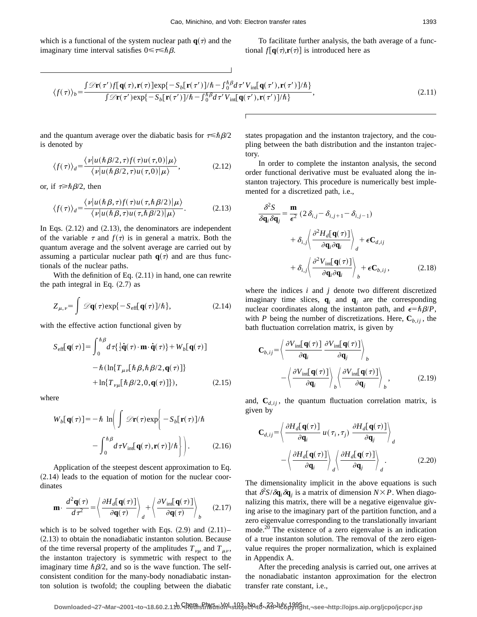which is a functional of the system nuclear path  $q(\tau)$  and the imaginary time interval satisfies  $0 \le \tau \le \hbar \beta$ .

To facilitate further analysis, the bath average of a functional  $f[q(\tau), \mathbf{r}(\tau)]$  is introduced here as

$$
\langle f(\tau) \rangle_b = \frac{\int \mathcal{D}\mathbf{r}(\tau') f[\mathbf{q}(\tau), \mathbf{r}(\tau)] \exp\{-S_b[\mathbf{r}(\tau')] / \hbar - \int_0^{\hbar} \beta d\tau' V_{\text{int}}[\mathbf{q}(\tau'), \mathbf{r}(\tau')] / \hbar\}}{\int \mathcal{D}\mathbf{r}(\tau') \exp\{-S_b[\mathbf{r}(\tau')] / \hbar - \int_0^{\hbar} \beta d\tau' V_{\text{int}}[\mathbf{q}(\tau'), \mathbf{r}(\tau')] / \hbar\}},\tag{2.11}
$$

and the quantum average over the diabatic basis for  $\tau \le \hbar \beta/2$ is denoted by

$$
\langle f(\tau) \rangle_{d} = \frac{\langle \nu | u(\hbar \beta/2, \tau) f(\tau) u(\tau, 0) | \mu \rangle}{\langle \nu | u(\hbar \beta/2, \tau) u(\tau, 0) | \mu \rangle}, \tag{2.12}
$$

or, if  $\tau \geq \hbar \beta/2$ , then

$$
\langle f(\tau) \rangle_{d} = \frac{\langle \nu | u(\hbar \beta, \tau) f(\tau) u(\tau, \hbar \beta/2) | \mu \rangle}{\langle \nu | u(\hbar \beta, \tau) u(\tau, \hbar \beta/2) | \mu \rangle}.
$$
 (2.13)

In Eqs.  $(2.12)$  and  $(2.13)$ , the denominators are independent of the variable  $\tau$  and  $f(\tau)$  is in general a matrix. Both the quantum average and the solvent average are carried out by assuming a particular nuclear path  $q(\tau)$  and are thus functionals of the nuclear paths.

With the definition of Eq.  $(2.11)$  in hand, one can rewrite the path integral in Eq.  $(2.7)$  as

$$
Z_{\mu,\nu} = \int \mathscr{D}\mathbf{q}(\tau) \exp\{-S_{\text{eff}}[\mathbf{q}(\tau)]/\hbar\},\tag{2.14}
$$

with the effective action functional given by

$$
S_{\text{eff}}[\mathbf{q}(\tau)] = \int_0^{\hbar \beta} d\tau \left\{ \frac{1}{2} \dot{\mathbf{q}}(\tau) \cdot \mathbf{m} \cdot \dot{\mathbf{q}}(\tau) \right\} + W_b[\mathbf{q}(\tau)]
$$

$$
- \hbar \left\{ \ln \left\{ T_{\mu\nu}[\hbar \beta, \hbar \beta/2, \mathbf{q}(\tau)] \right\} \right.
$$

$$
+ \ln \left\{ T_{\nu\mu}[\hbar \beta/2, 0, \mathbf{q}(\tau)] \right\}, \tag{2.15}
$$

where

$$
W_b[\mathbf{q}(\tau)] = -\hbar \ln \bigg( \int \mathcal{D}\mathbf{r}(\tau) \exp \bigg\{ -S_b[\mathbf{r}(\tau)]/\hbar - \int_0^{\hbar \beta} d\tau V_{\text{int}}[\mathbf{q}(\tau), \mathbf{r}(\tau)]/\hbar \bigg\} \bigg).
$$
 (2.16)

Application of the steepest descent approximation to Eq.  $(2.14)$  leads to the equation of motion for the nuclear coordinates

$$
\mathbf{m} \cdot \frac{d^2 \mathbf{q}(\tau)}{d\tau^2} = \left\langle \frac{\partial H_d[\mathbf{q}(\tau)]}{\partial \mathbf{q}(\tau)} \right\rangle_d + \left\langle \frac{\partial V_{\text{int}}[\mathbf{q}(\tau)]}{\partial \mathbf{q}(\tau)} \right\rangle_b \tag{2.17}
$$

which is to be solved together with Eqs.  $(2.9)$  and  $(2.11)$ –  $(2.13)$  to obtain the nonadiabatic instanton solution. Because of the time reversal property of the amplitudes  $T_{\nu\mu}$  and  $T_{\mu\nu}$ , the instanton trajectory is symmetric with respect to the imaginary time  $\hbar \beta/2$ , and so is the wave function. The selfconsistent condition for the many-body nonadiabatic instanton solution is twofold; the coupling between the diabatic states propagation and the instanton trajectory, and the coupling between the bath distribution and the instanton trajectory.

In order to complete the instanton analysis, the second order functional derivative must be evaluated along the instanton trajectory. This procedure is numerically best implemented for a discretized path, i.e.,

$$
\frac{\partial^2 S}{\partial \mathbf{q}_i \partial \mathbf{q}_j} = \frac{\mathbf{m}}{\epsilon^2} \left( 2 \delta_{i,j} - \delta_{i,j+1} - \delta_{i,j-1} \right)
$$

$$
+ \delta_{i,j} \left\langle \frac{\partial^2 H_d[\mathbf{q}(\tau)]}{\partial \mathbf{q}_i \partial \mathbf{q}_i} \right\rangle_d + \epsilon \mathbf{C}_{d,ij}
$$

$$
+ \delta_{i,j} \left\langle \frac{\partial^2 V_{\text{int}}[\mathbf{q}(\tau)]}{\partial \mathbf{q}_i \partial \mathbf{q}_i} \right\rangle_b + \epsilon \mathbf{C}_{b,ij}, \qquad (2.18)
$$

where the indices *i* and *j* denote two different discretized imaginary time slices,  $q_i$  and  $q_j$  are the corresponding nuclear coordinates along the instanton path, and  $\epsilon = \hbar \beta / P$ , with *P* being the number of discretizations. Here,  $C_{b}$ , *i*, the bath fluctuation correlation matrix, is given by

$$
\mathbf{C}_{b,ij} = \left\langle \frac{\partial V_{\text{int}}[\mathbf{q}(\tau)]}{\partial \mathbf{q}_i} \frac{\partial V_{\text{int}}[\mathbf{q}(\tau)]}{\partial \mathbf{q}_j} \right\rangle_b
$$

$$
- \left\langle \frac{\partial V_{\text{int}}[\mathbf{q}(\tau)]}{\partial \mathbf{q}_i} \right\rangle_b \left\langle \frac{\partial V_{\text{int}}[\mathbf{q}(\tau)]}{\partial \mathbf{q}_j} \right\rangle_b, \tag{2.19}
$$

and,  $C_{d,ij}$ , the quantum fluctuation correlation matrix, is given by

$$
\mathbf{C}_{d,ij} = \left\langle \frac{\partial H_d[\mathbf{q}(\tau)]}{\partial \mathbf{q}_i} u(\tau_i, \tau_j) \frac{\partial H_d[\mathbf{q}(\tau)]}{\partial \mathbf{q}_j} \right\rangle_d
$$

$$
- \left\langle \frac{\partial H_d[\mathbf{q}(\tau)]}{\partial \mathbf{q}_i} \right\rangle_d \left\langle \frac{\partial H_d[\mathbf{q}(\tau)]}{\partial \mathbf{q}_j} \right\rangle_d.
$$
(2.20)

The dimensionality implicit in the above equations is such that  $\frac{\partial^2 S}{\partial \mathbf{q}_i \partial \mathbf{q}_j}$  is a matrix of dimension  $N \times P$ . When diagonalizing this matrix, there will be a negative eigenvalue giving arise to the imaginary part of the partition function, and a zero eigenvalue corresponding to the translationally invariant mode.<sup>20</sup> The existence of a zero eigenvalue is an indication of a true instanton solution. The removal of the zero eigenvalue requires the proper normalization, which is explained in Appendix A.

After the preceding analysis is carried out, one arrives at the nonadiabatic instanton approximation for the electron transfer rate constant, i.e.,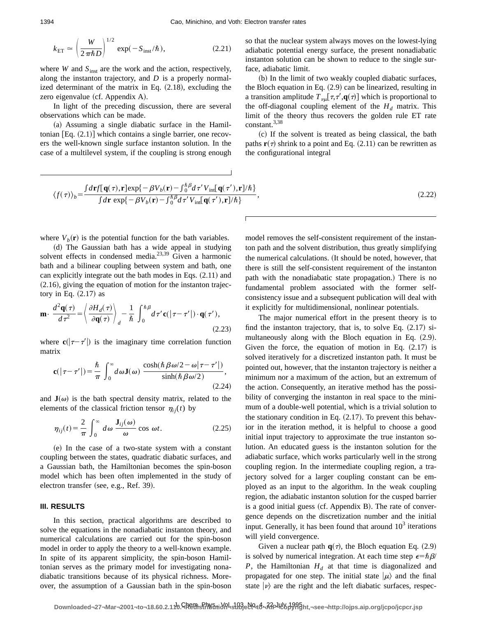$$
k_{\rm ET} \simeq \left(\frac{W}{2\pi\hbar D}\right)^{1/2} \exp(-S_{\rm inst}/\hbar),\tag{2.21}
$$

where *W* and  $S<sub>inst</sub>$  are the work and the action, respectively, along the instanton trajectory, and *D* is a properly normalized determinant of the matrix in Eq.  $(2.18)$ , excluding the zero eigenvalue  $(cf.$  Appendix A $).$ 

In light of the preceding discussion, there are several observations which can be made.

 $(a)$  Assuming a single diabatic surface in the Hamiltonian  $[Eq. (2.1)]$  which contains a single barrier, one recovers the well-known single surface instanton solution. In the case of a multilevel system, if the coupling is strong enough so that the nuclear system always moves on the lowest-lying adiabatic potential energy surface, the present nonadiabatic instanton solution can be shown to reduce to the single surface, adiabatic limit.

(b) In the limit of two weakly coupled diabatic surfaces, the Bloch equation in Eq.  $(2.9)$  can be linearized, resulting in a transition amplitude  $T_{\nu\mu}[\tau,\tau',\mathbf{q}(\tau)]$  which is proportional to the off-diagonal coupling element of the  $H_d$  matrix. This limit of the theory thus recovers the golden rule ET rate constant.3,38

~c! If the solvent is treated as being classical, the bath paths  $\mathbf{r}(\tau)$  shrink to a point and Eq.  $(2.11)$  can be rewritten as the configurational integral

$$
\langle f(\tau) \rangle_b = \frac{\int d\mathbf{r} f[\mathbf{q}(\tau), \mathbf{r}] \exp\{-\beta V_b(\mathbf{r}) - \int_0^{\hbar} \beta d\tau' V_{\text{int}}[\mathbf{q}(\tau'), \mathbf{r}] / \hbar\}}{\int d\mathbf{r} \exp\{-\beta V_b(\mathbf{r}) - \int_0^{\hbar} \beta d\tau' V_{\text{int}}[\mathbf{q}(\tau'), \mathbf{r}] / \hbar\}},\tag{2.22}
$$

where  $V_b(\mathbf{r})$  is the potential function for the bath variables.

(d) The Gaussian bath has a wide appeal in studying solvent effects in condensed media.<sup>23,39</sup> Given a harmonic bath and a bilinear coupling between system and bath, one can explicitly integrate out the bath modes in Eqs.  $(2.11)$  and  $(2.16)$ , giving the equation of motion for the instanton trajectory in Eq.  $(2.17)$  as

$$
\mathbf{m} \cdot \frac{d^2 \mathbf{q}(\tau)}{d\tau^2} = \left\langle \frac{\partial H_d(\tau)}{\partial \mathbf{q}(\tau)} \right\rangle_d - \frac{1}{\hbar} \int_0^{\hbar \beta} d\tau' \mathbf{c}(|\tau - \tau'|) \cdot \mathbf{q}(\tau'),
$$
\n(2.23)

where  $c(|\tau-\tau'|)$  is the imaginary time correlation function matrix

$$
\mathbf{c}(|\tau-\tau'|)=\frac{\hbar}{\pi}\int_0^\infty d\omega \mathbf{J}(\omega)\,\frac{\cosh(\hbar\beta\omega/2-\omega|\tau-\tau'|)}{\sinh(\hbar\beta\omega/2)},\tag{2.24}
$$

and  $J(\omega)$  is the bath spectral density matrix, related to the elements of the classical friction tensor  $\eta_{ij}(t)$  by

$$
\eta_{ij}(t) = \frac{2}{\pi} \int_0^\infty d\omega \, \frac{\mathbf{J}_{ij}(\omega)}{\omega} \cos \omega t. \tag{2.25}
$$

 $(e)$  In the case of a two-state system with a constant coupling between the states, quadratic diabatic surfaces, and a Gaussian bath, the Hamiltonian becomes the spin-boson model which has been often implemented in the study of electron transfer (see, e.g., Ref. 39).

# **III. RESULTS**

In this section, practical algorithms are described to solve the equations in the nonadiabatic instanton theory, and numerical calculations are carried out for the spin-boson model in order to apply the theory to a well-known example. In spite of its apparent simplicity, the spin-boson Hamiltonian serves as the primary model for investigating nonadiabatic transitions because of its physical richness. Moreover, the assumption of a Gaussian bath in the spin-boson model removes the self-consistent requirement of the instanton path and the solvent distribution, thus greatly simplifying the numerical calculations. (It should be noted, however, that there is still the self-consistent requirement of the instanton path with the nonadiabatic state propagation.) There is no fundamental problem associated with the former selfconsistency issue and a subsequent publication will deal with it explicitly for multidimensional, nonlinear potentials.

The major numerical effort in the present theory is to find the instanton trajectory, that is, to solve Eq.  $(2.17)$  simultaneously along with the Bloch equation in Eq.  $(2.9)$ . Given the force, the equation of motion in Eq.  $(2.17)$  is solved iteratively for a discretized instanton path. It must be pointed out, however, that the instanton trajectory is neither a minimum nor a maximum of the action, but an extremum of the action. Consequently, an iterative method has the possibility of converging the instanton in real space to the minimum of a double-well potential, which is a trivial solution to the stationary condition in Eq.  $(2.17)$ . To prevent this behavior in the iteration method, it is helpful to choose a good initial input trajectory to approximate the true instanton solution. An educated guess is the instanton solution for the adiabatic surface, which works particularly well in the strong coupling region. In the intermediate coupling region, a trajectory solved for a larger coupling constant can be employed as an input to the algorithm. In the weak coupling region, the adiabatic instanton solution for the cusped barrier is a good initial guess  $(cf.$  Appendix B $)$ . The rate of convergence depends on the discretization number and the initial input. Generally, it has been found that around  $10<sup>3</sup>$  iterations will yield convergence.

Given a nuclear path  $q(\tau)$ , the Bloch equation Eq. (2.9) is solved by numerical integration. At each time step  $\epsilon = \hbar \beta$ *P*, the Hamiltonian  $H<sub>d</sub>$  at that time is diagonalized and propagated for one step. The initial state  $|\mu\rangle$  and the final state  $|\nu\rangle$  are the right and the left diabatic surfaces, respec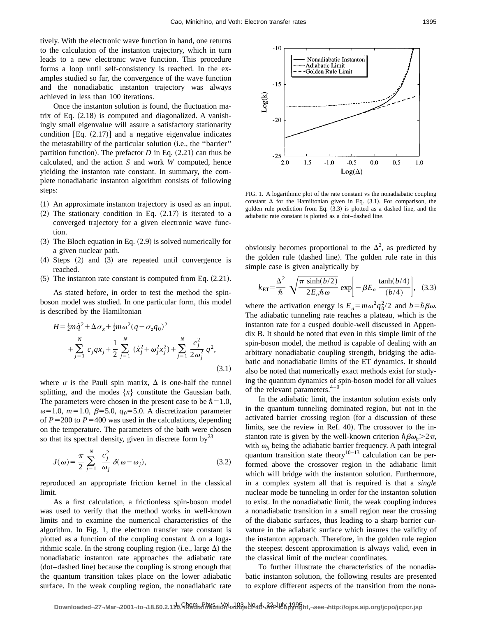tively. With the electronic wave function in hand, one returns to the calculation of the instanton trajectory, which in turn leads to a new electronic wave function. This procedure forms a loop until self-consistency is reached. In the examples studied so far, the convergence of the wave function and the nonadiabatic instanton trajectory was always achieved in less than 100 iterations.

Once the instanton solution is found, the fluctuation matrix of Eq.  $(2.18)$  is computed and diagonalized. A vanishingly small eigenvalue will assure a satisfactory stationarity condition  $[Eq. (2.17)]$  and a negative eigenvalue indicates the metastability of the particular solution (i.e., the "barrier" partition function). The prefactor  $D$  in Eq.  $(2.21)$  can thus be calculated, and the action *S* and work *W* computed, hence yielding the instanton rate constant. In summary, the complete nonadiabatic instanton algorithm consists of following steps:

- ~1! An approximate instanton trajectory is used as an input.
- $(2)$  The stationary condition in Eq.  $(2.17)$  is iterated to a converged trajectory for a given electronic wave function.
- $(3)$  The Bloch equation in Eq.  $(2.9)$  is solved numerically for a given nuclear path.
- $(4)$  Steps  $(2)$  and  $(3)$  are repeated until convergence is reached.
- $(5)$  The instanton rate constant is computed from Eq.  $(2.21)$ .

As stated before, in order to test the method the spinboson model was studied. In one particular form, this model is described by the Hamiltonian

$$
H = \frac{1}{2}m\dot{q}^{2} + \Delta\sigma_{x} + \frac{1}{2}m\omega^{2}(q - \sigma_{z}q_{0})^{2}
$$
  
+ 
$$
\sum_{j=1}^{N} c_{j}qx_{j} + \frac{1}{2}\sum_{j=1}^{N} (\dot{x}_{j}^{2} + \omega_{j}^{2}x_{j}^{2}) + \sum_{j=1}^{N} \frac{c_{j}^{2}}{2\omega_{j}^{2}}q^{2},
$$
(3.1)

where  $\sigma$  is the Pauli spin matrix,  $\Delta$  is one-half the tunnel splitting, and the modes  $\{x\}$  constitute the Gaussian bath. The parameters were chosen in the present case to be  $\hbar=1.0$ ,  $\omega$ =1.0, *m*=1.0,  $\beta$ =5.0,  $q_0$ =5.0. A discretization parameter of  $P = 200$  to  $P = 400$  was used in the calculations, depending on the temperature. The parameters of the bath were chosen so that its spectral density, given in discrete form  $by<sup>23</sup>$ 

$$
J(\omega) = \frac{\pi}{2} \sum_{j=1}^{N} \frac{c_j^2}{\omega_j} \delta(\omega - \omega_j),
$$
 (3.2)

reproduced an appropriate friction kernel in the classical limit.

As a first calculation, a frictionless spin-boson model was used to verify that the method works in well-known limits and to examine the numerical characteristics of the algorithm. In Fig. 1, the electron transfer rate constant is plotted as a function of the coupling constant  $\Delta$  on a logarithmic scale. In the strong coupling region (i.e., large  $\Delta$ ) the nonadiabatic instanton rate approaches the adiabatic rate ~dot–dashed line! because the coupling is strong enough that the quantum transition takes place on the lower adiabatic surface. In the weak coupling region, the nonadiabatic rate



FIG. 1. A logarithmic plot of the rate constant vs the nonadiabatic coupling constant  $\Delta$  for the Hamiltonian given in Eq. (3.1). For comparison, the golden rule prediction from Eq.  $(3.3)$  is plotted as a dashed line, and the adiabatic rate constant is plotted as a dot–dashed line.

obviously becomes proportional to the  $\Delta^2$ , as predicted by the golden rule (dashed line). The golden rule rate in this simple case is given analytically by

$$
k_{\rm ET} = \frac{\Delta^2}{\hbar} \sqrt{\frac{\pi \sinh(b/2)}{2E_a \hbar \omega}} \exp\bigg[-\beta E_a \frac{\tanh(b/4)}{(b/4)}\bigg], \quad (3.3)
$$

where the activation energy is  $E_a = m\omega^2 q_0^2/2$  and  $b = \hbar \beta \omega$ . The adiabatic tunneling rate reaches a plateau, which is the instanton rate for a cusped double-well discussed in Appendix B. It should be noted that even in this simple limit of the spin-boson model, the method is capable of dealing with an arbitrary nonadiabatic coupling strength, bridging the adiabatic and nonadiabatic limits of the ET dynamics. It should also be noted that numerically exact methods exist for studying the quantum dynamics of spin-boson model for all values of the relevant parameters.4–9

In the adiabatic limit, the instanton solution exists only in the quantum tunneling dominated region, but not in the activated barrier crossing region (for a discussion of these limits, see the review in Ref. 40). The crossover to the instanton rate is given by the well-known criterion  $\hbar \beta \omega_b > 2\pi$ , with  $\omega_b$  being the adiabatic barrier frequency. A path integral quantum transition state theory<sup>10–13</sup> calculation can be performed above the crossover region in the adiabatic limit which will bridge with the instanton solution. Furthermore, in a complex system all that is required is that a *single* nuclear mode be tunneling in order for the instanton solution to exist. In the nonadiabatic limit, the weak coupling induces a nonadiabatic transition in a small region near the crossing of the diabatic surfaces, thus leading to a sharp barrier curvature in the adiabatic surface which insures the validity of the instanton approach. Therefore, in the golden rule region the steepest descent approximation is always valid, even in the classical limit of the nuclear coordinates.

To further illustrate the characteristics of the nonadiabatic instanton solution, the following results are presented to explore different aspects of the transition from the nona-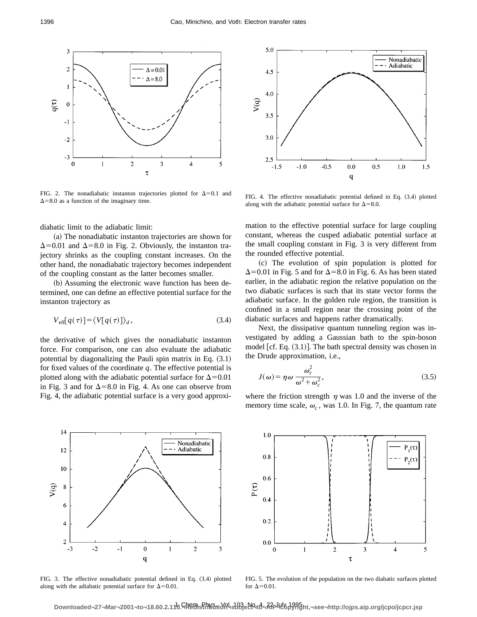

FIG. 2. The nonadiabatic instanton trajectories plotted for  $\Delta=0.1$  and  $\Delta$ =8.0 as a function of the imaginary time.

diabatic limit to the adiabatic limit:

(a) The nonadiabatic instanton trajectories are shown for  $\Delta$ =0.01 and  $\Delta$ =8.0 in Fig. 2. Obviously, the instanton trajectory shrinks as the coupling constant increases. On the other hand, the nonadiabatic trajectory becomes independent of the coupling constant as the latter becomes smaller.

(b) Assuming the electronic wave function has been determined, one can define an effective potential surface for the instanton trajectory as

$$
V_{\text{eff}}[q(\tau)] = \langle V[q(\tau)] \rangle_d, \qquad (3.4)
$$

the derivative of which gives the nonadiabatic instanton force. For comparison, one can also evaluate the adiabatic potential by diagonalizing the Pauli spin matrix in Eq.  $(3.1)$ for fixed values of the coordinate *q*. The effective potential is plotted along with the adiabatic potential surface for  $\Delta$ =0.01 in Fig. 3 and for  $\Delta=8.0$  in Fig. 4. As one can observe from Fig. 4, the adiabatic potential surface is a very good approxi-



FIG. 4. The effective nonadiabatic potential defined in Eq.  $(3.4)$  plotted along with the adiabatic potential surface for  $\Delta=8.0$ .

mation to the effective potential surface for large coupling constant, whereas the cusped adiabatic potential surface at the small coupling constant in Fig. 3 is very different from the rounded effective potential.

~c! The evolution of spin population is plotted for  $\Delta$ =0.01 in Fig. 5 and for  $\Delta$ =8.0 in Fig. 6. As has been stated earlier, in the adiabatic region the relative population on the two diabatic surfaces is such that its state vector forms the adiabatic surface. In the golden rule region, the transition is confined in a small region near the crossing point of the diabatic surfaces and happens rather dramatically.

Next, the dissipative quantum tunneling region was investigated by adding a Gaussian bath to the spin-boson model  $[cf. Eq. (3.1)].$  The bath spectral density was chosen in the Drude approximation, i.e.,

$$
J(\omega) = \eta \omega \frac{\omega_c^2}{\omega^2 + \omega_c^2},\tag{3.5}
$$

where the friction strength  $\eta$  was 1.0 and the inverse of the memory time scale,  $\omega_c$ , was 1.0. In Fig. 7, the quantum rate



FIG. 3. The effective nonadiabatic potential defined in Eq.  $(3.4)$  plotted along with the adiabatic potential surface for  $\Delta=0.01$ .



FIG. 5. The evolution of the population on the two diabatic surfaces plotted for  $\Delta$ =0.01.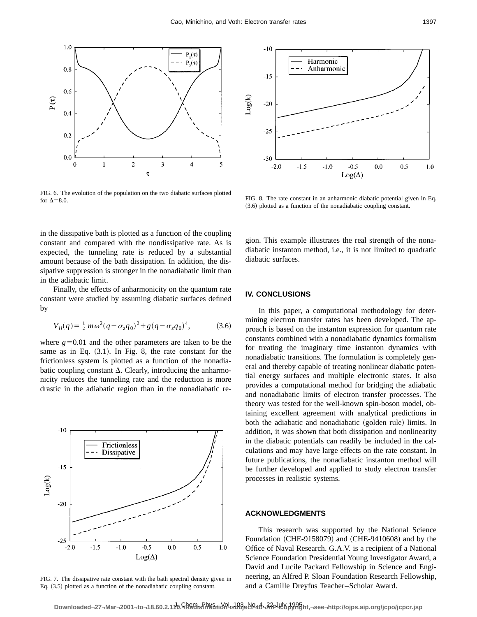

FIG. 6. The evolution of the population on the two diabatic surfaces plotted for  $\Delta=8.0$ .



FIG. 8. The rate constant in an anharmonic diabatic potential given in Eq.  $(3.6)$  plotted as a function of the nonadiabatic coupling constant.

in the dissipative bath is plotted as a function of the coupling constant and compared with the nondissipative rate. As is expected, the tunneling rate is reduced by a substantial amount because of the bath dissipation. In addition, the dissipative suppression is stronger in the nonadiabatic limit than in the adiabatic limit.

Finally, the effects of anharmonicity on the quantum rate constant were studied by assuming diabatic surfaces defined by

$$
V_{ii}(q) = \frac{1}{2} m \omega^2 (q - \sigma_z q_0)^2 + g(q - \sigma_z q_0)^4, \tag{3.6}
$$

where  $g=0.01$  and the other parameters are taken to be the same as in Eq.  $(3.1)$ . In Fig. 8, the rate constant for the frictionless system is plotted as a function of the nonadiabatic coupling constant  $\Delta$ . Clearly, introducing the anharmonicity reduces the tunneling rate and the reduction is more drastic in the adiabatic region than in the nonadiabatic re-



FIG. 7. The dissipative rate constant with the bath spectral density given in Eq.  $(3.5)$  plotted as a function of the nonadiabatic coupling constant.

gion. This example illustrates the real strength of the nonadiabatic instanton method, i.e., it is not limited to quadratic diabatic surfaces.

#### **IV. CONCLUSIONS**

In this paper, a computational methodology for determining electron transfer rates has been developed. The approach is based on the instanton expression for quantum rate constants combined with a nonadiabatic dynamics formalism for treating the imaginary time instanton dynamics with nonadiabatic transitions. The formulation is completely general and thereby capable of treating nonlinear diabatic potential energy surfaces and multiple electronic states. It also provides a computational method for bridging the adiabatic and nonadiabatic limits of electron transfer processes. The theory was tested for the well-known spin-boson model, obtaining excellent agreement with analytical predictions in both the adiabatic and nonadiabatic (golden rule) limits. In addition, it was shown that both dissipation and nonlinearity in the diabatic potentials can readily be included in the calculations and may have large effects on the rate constant. In future publications, the nonadiabatic instanton method will be further developed and applied to study electron transfer processes in realistic systems.

#### **ACKNOWLEDGMENTS**

This research was supported by the National Science Foundation  $(CHE-9158079)$  and  $(CHE-9410608)$  and by the Office of Naval Research. G.A.V. is a recipient of a National Science Foundation Presidential Young Investigator Award, a David and Lucile Packard Fellowship in Science and Engineering, an Alfred P. Sloan Foundation Research Fellowship, and a Camille Dreyfus Teacher–Scholar Award.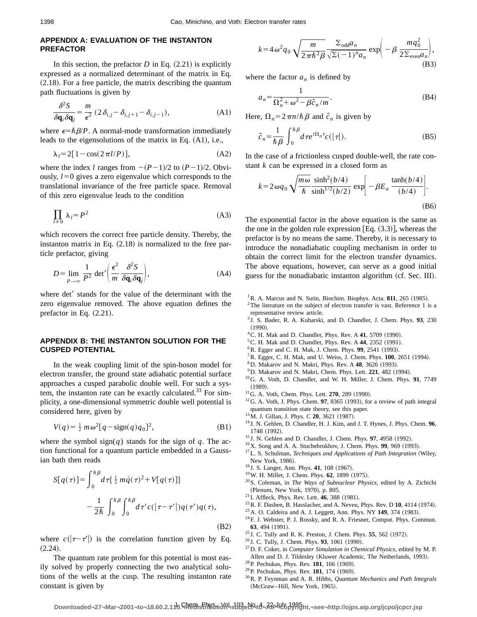### **APPENDIX A: EVALUATION OF THE INSTANTON PREFACTOR**

In this section, the prefactor  $D$  in Eq.  $(2.21)$  is explicitly expressed as a normalized determinant of the matrix in Eq.  $(2.18)$ . For a free particle, the matrix describing the quantum path fluctuations is given by

$$
\frac{\delta^2 S}{\delta \mathbf{q}_i \delta \mathbf{q}_j} = \frac{m}{\epsilon^2} \left( 2 \delta_{i,j} - \delta_{i,j+1} - \delta_{i,j-1} \right),\tag{A1}
$$

where  $\epsilon = \hbar \beta / P$ . A normal-mode transformation immediately leads to the eigensolutions of the matrix in Eq.  $(A1)$ , i.e.,

$$
\lambda_l = 2[1 - \cos(2\pi l/P)],\tag{A2}
$$

where the index *l* ranges from  $-(P-1)/2$  to  $(P-1)/2$ . Obviously,  $l=0$  gives a zero eigenvalue which corresponds to the translational invariance of the free particle space. Removal of this zero eigenvalue leads to the condition

$$
\prod_{l\neq 0} \lambda_l = P^2 \tag{A3}
$$

which recovers the correct free particle density. Thereby, the instanton matrix in Eq.  $(2.18)$  is normalized to the free particle prefactor, giving

$$
D = \lim_{P \to \infty} \frac{1}{P^2} \det' \left( \frac{\epsilon^2}{m} \frac{\delta^2 S}{\delta \mathbf{q}_i \delta \mathbf{q}_j} \right),\tag{A4}
$$

where det' stands for the value of the determinant with the zero eigenvalue removed. The above equation defines the prefactor in Eq.  $(2.21)$ .

## **APPENDIX B: THE INSTANTON SOLUTION FOR THE CUSPED POTENTIAL**

In the weak coupling limit of the spin-boson model for electron transfer, the ground state adiabatic potential surface approaches a cusped parabolic double well. For such a system, the instanton rate can be exactly calculated. $33$  For simplicity, a one-dimensional symmetric double well potential is considered here, given by

$$
V(q) = \frac{1}{2} m \omega^2 [q - \text{sign}(q) q_0]^2,
$$
 (B1)

where the symbol sign( $q$ ) stands for the sign of  $q$ . The action functional for a quantum particle embedded in a Gaussian bath then reads

$$
S[q(\tau)] = \int_0^{\hbar \beta} d\tau \left\{ \frac{1}{2} m \dot{q}(\tau)^2 + V[q(\tau)] \right\}
$$

$$
- \frac{1}{2\hbar} \int_0^{\hbar \beta} \int_0^{\hbar \beta} d\tau' c(|\tau - \tau'|) q(\tau') q(\tau), \tag{B2}
$$

where  $c(|\tau-\tau'|)$  is the correlation function given by Eq.  $(2.24).$ 

The quantum rate problem for this potential is most easily solved by properly connecting the two analytical solutions of the wells at the cusp. The resulting instanton rate constant is given by

$$
k = 4\omega^2 q_0 \sqrt{\frac{m}{2\pi\hbar^2 \beta}} \frac{\Sigma_{\text{odd}} a_n}{\sqrt{\Sigma(-1)^n a_n}} \exp\left(-\beta \frac{mq_0^2}{2\Sigma_{\text{even}} a_n}\right),\tag{B3}
$$

where the factor  $a_n$  is defined by

$$
a_n = \frac{1}{\Omega_n^2 + \omega^2 - \beta \tilde{c}_n / m}.
$$
 (B4)

Here,  $\Omega_n = 2\pi n/\hbar \beta$  and  $\tilde{c}_n$  is given by

$$
\tilde{c}_n = \frac{1}{\hbar \beta} \int_0^{\hbar \beta} d\tau e^{i\Omega_n \tau} c(|\tau|). \tag{B5}
$$

In the case of a frictionless cusped double-well, the rate constant *k* can be expressed in a closed form as

$$
k = 2 \omega q_0 \sqrt{\frac{m \omega}{\hbar}} \frac{\sinh^2(b/4)}{\sinh^{1/2}(b/2)} \exp\bigg[-\beta E_a \frac{\tanh(b/4)}{(b/4)}\bigg].
$$
\n(B6)

The exponential factor in the above equation is the same as the one in the golden rule expression  $[Eq. (3.3)],$  whereas the prefactor is by no means the same. Thereby, it is necessary to introduce the nonadiabatic coupling mechanism in order to obtain the correct limit for the electron transfer dynamics. The above equations, however, can serve as a good initial guess for the nonadiabatic instanton algorithm (cf. Sec. III).

- $2$ The literature on the subject of electron transfer is vast. Reference 1 is a representative review article.
- <sup>3</sup> J. S. Bader, R. A. Kuharski, and D. Chandler, J. Chem. Phys. **93**, 230  $(1990)$
- <sup>4</sup> C. H. Mak and D. Chandler, Phys. Rev. A **41**, 5709 (1990).
- ${}^{5}$ C. H. Mak and D. Chandler, Phys. Rev. A 44, 2352 (1991).
- ${}^{6}$ R. Egger and C. H. Mak, J. Chem. Phys. **99**, 2541 (1993).
- <sup>7</sup>R. Egger, C. H. Mak, and U. Weiss, J. Chem. Phys. **100**, 2651 (1994).
- <sup>8</sup>D. Makarov and N. Makri, Phys. Rev. A **48**, 3626 (1993).
- $9^9$ D. Makarov and N. Makri, Chem. Phys. Lett. 221, 482 (1994).
- 10G. A. Voth, D. Chandler, and W. H. Miller, J. Chem. Phys. **91**, 7749  $(1989).$
- <sup>11</sup>G. A. Voth, Chem. Phys. Lett. **270**, 289 (1990).
- $12$ G. A. Voth, J. Phys. Chem. **97**, 8365 (1993), for a review of path integral quantum transition state theory, see this paper.
- <sup>13</sup>M. J. Gillan, J. Phys. C **20**, 3621 (1987).
- <sup>14</sup> J. N. Gehlen, D. Chandler, H. J. Kim, and J. T. Hynes, J. Phys. Chem. **96**, 1748 (1992).
- <sup>15</sup> J. N. Gehlen and D. Chandler, J. Chem. Phys. **97**, 4958 (1992).
- <sup>16</sup>X. Song and A. A. Stuchebrukhov, J. Chem. Phys. **99**, 969 (1993).
- <sup>17</sup>L. S. Schulman, *Techniques and Applications of Path Integration* (Wiley, New York, 1986).
- <sup>18</sup> J. S. Langer, Ann. Phys. **41**, 108 (1967).
- <sup>19</sup>W. H. Miller, J. Chem. Phys. **62**, 1899 (1975).
- 20S. Coleman, in *The Ways of Subnuclear Physics*, edited by A. Zichichi (Plenum, New York, 1970), p. 805.
- <sup>21</sup> I. Affleck, Phys. Rev. Lett. **46**, 388 (1981).
- $22$ R. F. Dashen, B. Hasslacher, and A. Neveu, Phys. Rev. D 10, 4114 (1974).
- <sup>23</sup> A. O. Caldeira and A. J. Leggett, Ann. Phys. NY **149**, 374 (1983).
- 24F. J. Webster, P. J. Rossky, and R. A. Friesner, Comput. Phys. Commun. **63**, 494 (1991).
- <sup>25</sup> J. C. Tully and R. K. Preston, J. Chem. Phys. **55**, 562 (1972).
- <sup>26</sup> J. C. Tully, J. Chem. Phys. **93**, 1061 (1990).
- 27D. F. Coker, in *Computer Simulation in Chemical Physics*, edited by M. P. Allen and D. J. Tildesley (Kluwer Academic, The Netherlands, 1993).
- <sup>28</sup> P. Pechukas, Phys. Rev. **181**, 166 (1969).
- <sup>29</sup> P. Pechukas, Phys. Rev. **181**, 174 (1969).
- 30R. P. Feynman and A. R. Hibbs, *Quantum Mechanics and Path Integrals* (McGraw-Hill, New York, 1965).

 ${}^{1}$ R. A. Marcus and N. Sutin, Biochim. Biophys. Acta. **811**, 265 (1985).